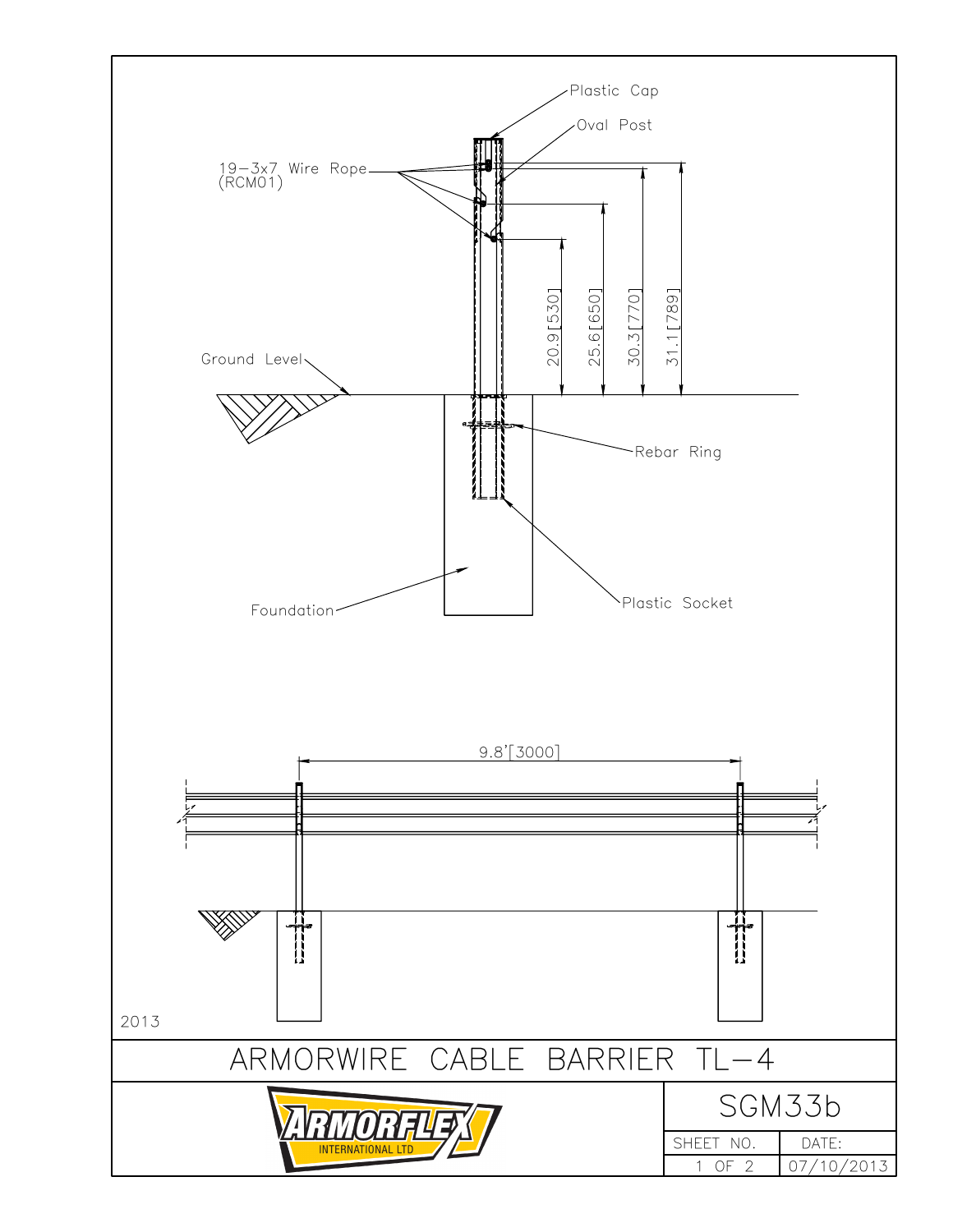